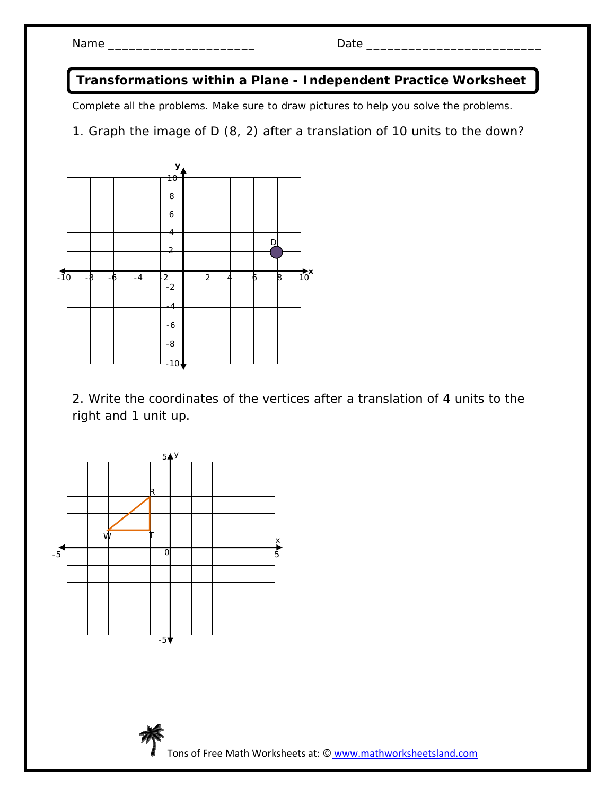**Transformations within a Plane - Independent Practice Worksheet** 

Complete all the problems. Make sure to draw pictures to help you solve the problems.

1. Graph the image of D (8, 2) after a translation of 10 units to the down?



2. Write the coordinates of the vertices after a translation of 4 units to the right and 1 unit up.



Tons of Free Math Worksheets at: © www.mathworksheetsland.com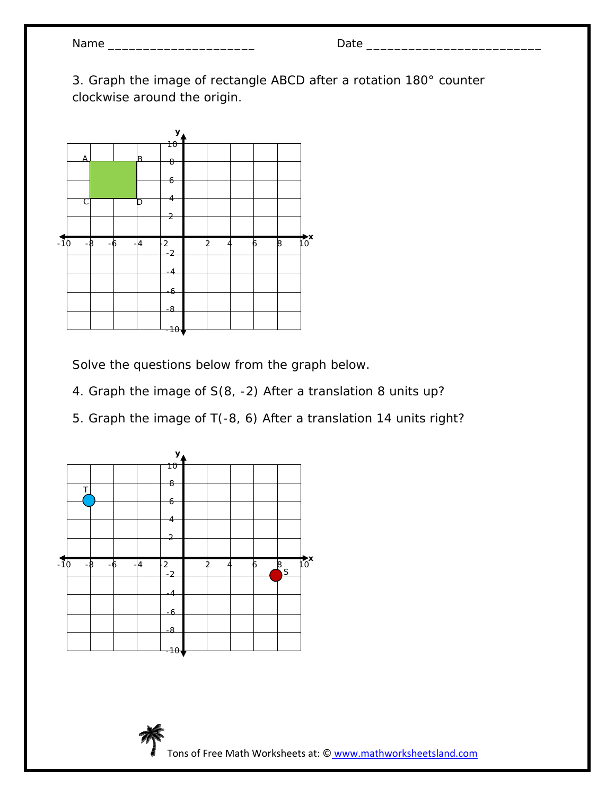| Name |  |
|------|--|
|------|--|

Name \_\_\_\_\_\_\_\_\_\_\_\_\_\_\_\_\_\_\_\_\_ Date \_\_\_\_\_\_\_\_\_\_\_\_\_\_\_\_\_\_\_\_\_\_\_\_\_

3. Graph the image of rectangle ABCD after a rotation 180° counter clockwise around the origin.



Solve the questions below from the graph below.

- 4. Graph the image of S(8, -2) After a translation 8 units up?
- 5. Graph the image of T(-8, 6) After a translation 14 units right?